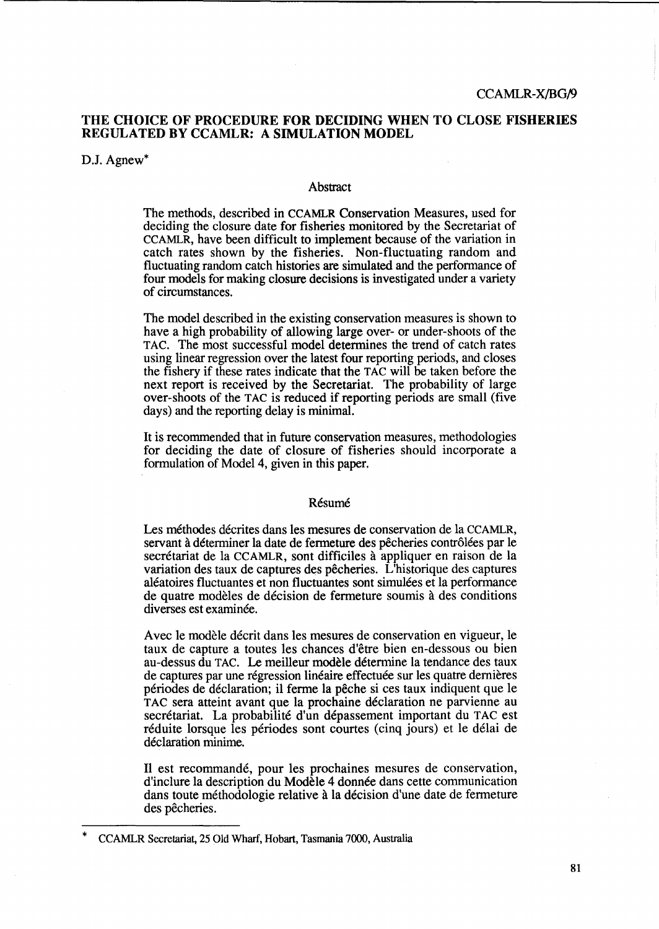### CCAMLR-X/BG/9

# THE CHOICE OF PROCEDURE FOR DECIDING WHEN TO CLOSE FISHERIES REGULATED BY CCAMLR: A SIMULATION MODEL

D.J. Agnew<sup>\*</sup>

### Abstract

The methods, described in CCAMLR Conservation Measures, used for deciding the closure date for fisheries monitored by the Secretariat of CCAMLR, have been difficult to implement because of the variation in catch rates shown by the fisheries. Non-fluctuating random and fluctuating random catch histories are simulated and the perfonnance of four models for making closure decisions is investigated under a variety of circumstances.

The model described in the existing conservation measures is shown to have a high probability of allowing large over- or under-shoots of the TAC. The most successful model determines the trend of catch rates using linear regression over the latest four reporting periods, and closes the fishery if these rates indicate that the TAC will be taken before the next report is received by the Secretariat. The probability of large over-shoots of the TAC is reduced if reporting periods are small (five days) and the reporting delay is minimal.

It is recommended that in future conservation measures, methodologies for deciding the date of closure of fisheries should incorporate a formulation of Model 4, given in this paper.

### Résumé

Les methodes decrites dans les mesures de conservation de la CCAMLR, servant à déterminer la date de fermeture des pêcheries contrôlées par le secrétariat de la CCAMLR, sont difficiles à appliquer en raison de la variation des taux de captures des pecheries. L'historique des captures aleatoires fluctuantes et non fluctuantes sont simulees et la performance de quatre modèles de décision de fermeture soumis à des conditions diverses est examinée.

Avec le modèle décrit dans les mesures de conservation en vigueur, le taux de capture a toutes les chances d'etre bien en-dessous ou bien au-dessus du TAC. Le meilleur modele determine la tendance des taux de captures par une régression linéaire effectuée sur les quatre dernières periodes de declaration; i1 ferme la peche si ces taux indiquent que le TAC sera atteint avant que la prochaine déclaration ne parvienne au secrétariat. La probabilité d'un dépassement important du TAC est réduite lorsque les périodes sont courtes (cinq jours) et le délai de déclaration minime.

Il est recommandé, pour les prochaines mesures de conservation, d'inclure la description du Modele 4 donnee dans cette communication dans toute méthodologie relative à la décision d'une date de fermeture des pêcheries.

<sup>\*</sup> CCAMLR Secretariat, 25 Old Wharf, Hobart, Tasmania 7000, Australia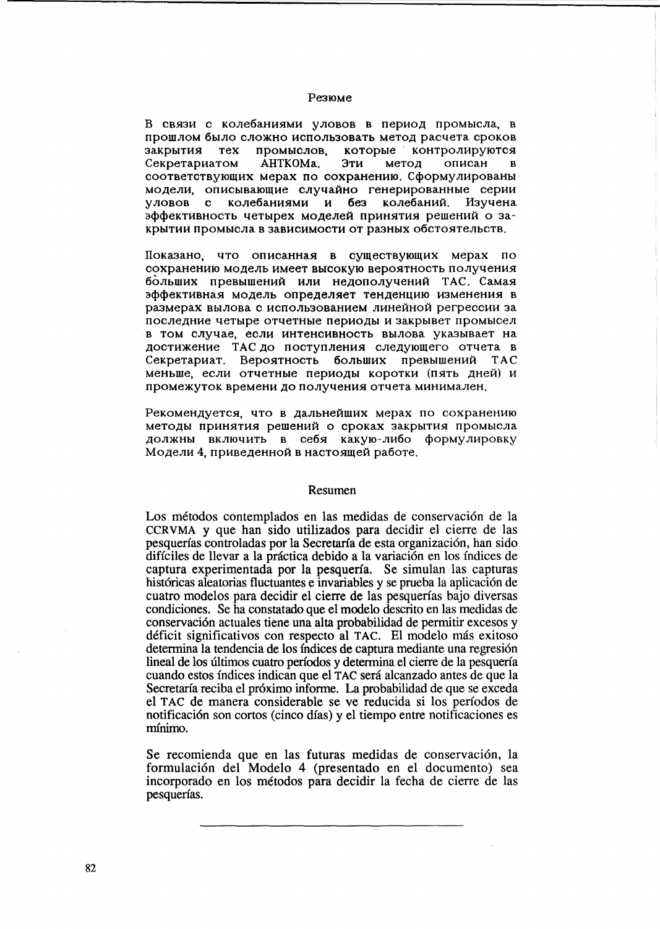#### Резюме

В связи с колебаниями уловов в период промысла, в прошлом было сложно использовать метод расчета сроков закрытия тех промыслов. которые контролируются Секретариатом AHTKOMa. Эти метод описан  $\mathbf{B}$ соответствующих мерах по сохранению. Сформулированы модели, описывающие случайно генерированные серии уловов с колебаниями и без колебаний. Изучена эффективность четырех моделей принятия решений о закрытии промысла в зависимости от разных обстоятельств.

Показано, что описанная в существующих мерах по сохранению модель имеет высокую вероятность получения больших превышений или недополучений ТАС. Самая эффективная модель определяет тенденцию изменения в размерах вылова с использованием линейной регрессии за последние четыре отчетные периоды и закрывет промысел в том случае, если интенсивность вылова указывает на достижение ТАС до поступления следующего отчета в Секретариат. Вероятность больших превышений **TAC** меньше, если отчетные периоды коротки (пять дней) и промежуток времени до получения отчета минимален.

Рекомендуется, что в дальнейших мерах по сохранению методы принятия решений о сроках закрытия промысла должны включить в себя какую-либо формулировку Модели 4, приведенной в настоящей работе.

#### Resumen

Los métodos contemplados en las medidas de conservación de la CCRVMA y que han sido utilizados para decidir el cierre de las pesquerías controladas por la Secretaría de esta organización, han sido difíciles de llevar a la práctica debido a la variación en los índices de captura experimentada por la pesquería. Se simulan las capturas históricas aleatorias fluctuantes e invariables y se prueba la aplicación de cuatro modelos para decidir el cierre de las pesquerías bajo diversas condiciones. Se ha constatado que el modelo descrito en las medidas de conservación actuales tiene una alta probabilidad de permitir excesos y déficit significativos con respecto al TAC. El modelo más exitoso determina la tendencia de los índices de captura mediante una regresión lineal de los últimos cuatro períodos y determina el cierre de la pesquería cuando estos índices indican que el TAC será alcanzado antes de que la Secretaría reciba el próximo informe. La probabilidad de que se exceda el TAC de manera considerable se ve reducida si los períodos de notificación son cortos (cinco días) y el tiempo entre notificaciones es mínimo.

Se recomienda que en las futuras medidas de conservación, la formulación del Modelo 4 (presentado en el documento) sea incorporado en los métodos para decidir la fecha de cierre de las pesquerías.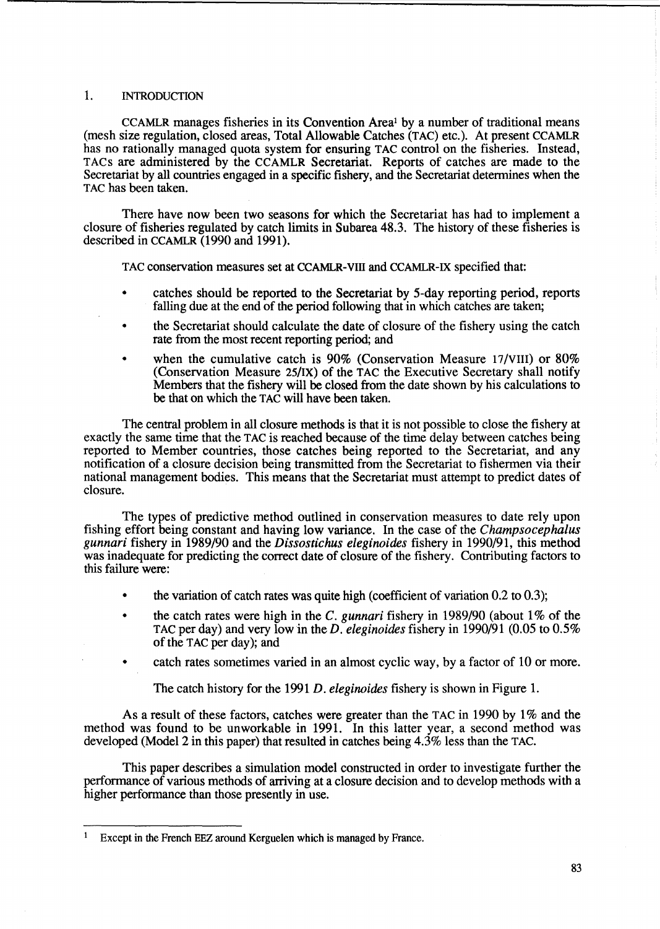# 1. INTRODUCTION

CCAMLR manages fisheries in its Convention Area! by a number of traditional means (mesh size regulation, closed areas, Total Allowable Catches (TAC) etc.). At present CCAMLR has no rationally managed quota system for ensuring TAC control on the fisheries. Instead, T ACs are administered by the CCAMLR Secretariat. Reports of catches are made to the Secretariat by all countries engaged in a specific fishery, and the Secretariat determines when the TAC has been taken.

There have now been two seasons for which the Secretariat has had to implement a closure of fisheries regulated by catch limits in Subarea 48.3. The history of these fisheries is described in CCAMLR (1990 and 1991).

TAC conservation measures set at CCAMLR-VIII and CCAMLR-IX specified that:

- catches should be reported to the Secretariat by 5-day reporting period, reports falling due at the end of the period following that in which catches are taken;
- the Secretariat should calculate the date of closure of the fishery using the catch rate from the most recent reporting period; and
- when the cumulative catch is 90% (Conservation Measure 17/VIII) or 80% (Conservation Measure 25/IX) of the TAC the Executive Secretary shall notify Members that the fishery will be closed from the date shown by his calculations to be that on which the TAC will have been taken.

The central problem in all closure methods is that it is not possible to close the fishery at exactly the same time that the TAC is reached because of the time delay between catches being reported to Member countries, those catches being reported to the Secretariat, and any notification of a closure decision being transmitted from the Secretariat to fishermen via their national management bodies. This means that the Secretariat must attempt to predict dates of closure.

The types of predictive method outlined in conservation measures to date rely upon fishing effort being constant and having low variance. In the case of the *Champsocephalus*  gunnari fishery in 1989/90 and the *Dissostichus eleginoides* fishery in 1990/91, this method was inadequate for predicting the correct date of closure of the fishery. Contributing factors to this failure were:

- the variation of catch rates was quite high (coefficient of variation  $0.2$  to  $0.3$ );
- the catch rates were high in the C. *gunnari* fishery in 1989/90 (about 1% of the TAC per day) and very low in the *D. eleginoides* fishery in 1990/91 (0.05 to 0.5% of the TAC per day); and
- catch rates sometimes varied in an almost cyclic way, by a factor of 10 or more.

The catch history for the 1991 *D. eleginoides* fishery is shown in Figure 1.

As a result of these factors, catches were greater than the TAC in 1990 by 1% and the method was found to be unworkable in 1991. In this latter year, a second method was developed (Model 2 in this paper) that resulted in catches being 4.3% less than the TAC.

This paper describes a simulation model constructed in order to investigate further the performance of various methods of arriving at a closure decision and to develop methods with a higher performance than those presently in use.

<sup>&</sup>lt;sup>1</sup> Except in the French EEZ around Kerguelen which is managed by France.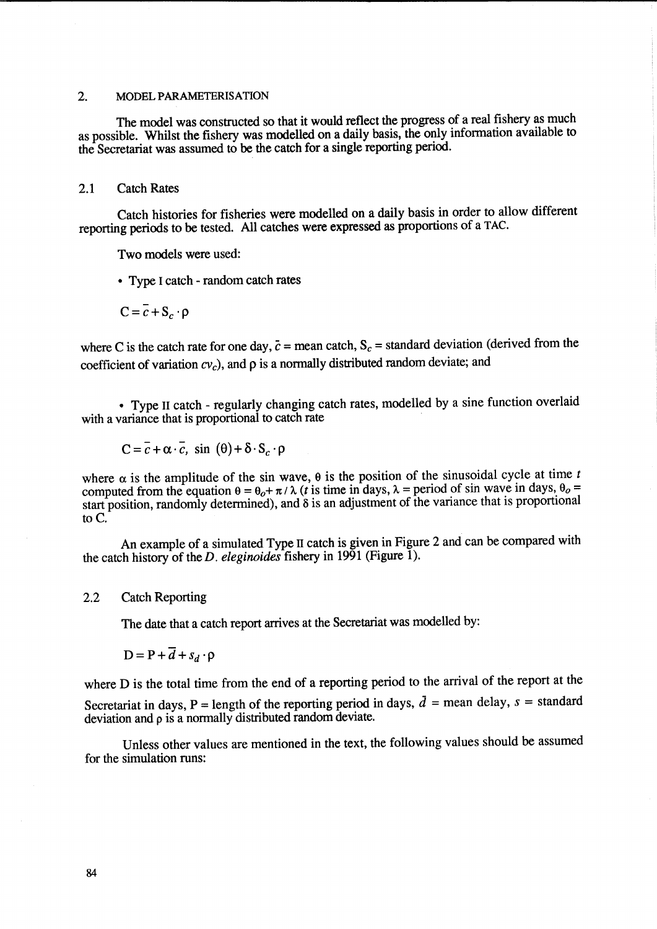### 2. MODEL PARAMETERISATION

The model was constructed so that it would reflect the progress of a real fishery as much as possible. Whilst the fishery was modelled on a daily basis, the only information available to the Secretariat was assumed to be the catch for a single reporting period.

### 2.1 Catch Rates

Catch histories for fisheries were modelled on a daily basis in order to allow different reporting periods to be tested. All catches were expressed as proportions of a TAC.

Two models were used:

- Type I catch random catch rates
- $C = \overline{c} + S_c \cdot \rho$

where C is the catch rate for one day,  $\bar{c}$  = mean catch,  $S_c$  = standard deviation (derived from the coefficient of variation  $cv_c$ ), and  $\rho$  is a normally distributed random deviate; and

• Type II catch - regularly changing catch rates, modelled by a sine function overlaid with a variance that is proportional to catch rate

$$
C = \overline{c} + \alpha \cdot \overline{c}, \text{ sin } (\theta) + \delta \cdot S_c \cdot \rho
$$

where  $\alpha$  is the amplitude of the sin wave,  $\theta$  is the position of the sinusoidal cycle at time *t* computed from the equation  $\theta = \theta_0 + \pi / \lambda$  (*t* is time in days,  $\lambda$  = period of sin wave in days,  $\theta_0$  = start position, randomly determined), and  $\delta$  is an adjustment of the variance that is proportional to  $C$ .

An example of a simulated Type II catch is given in Figure 2 and can be compared with the catch history of the *D. eleginoides* fishery in 1991 (Figure 1).

### 2.2 Catch Reporting

The date that a catch report arrives at the Secretariat was modelled by:

$$
D = P + d + s_d \cdot \rho
$$

where D is the total time from the end of a reporting period to the arrival of the report at the Secretariat in days, P = length of the reporting period in days,  $\bar{d}$  = mean delay,  $s$  = standard deviation and p is a normally distributed random deviate.

Unless other values are mentioned in the text, the following values should be assumed for the simulation runs: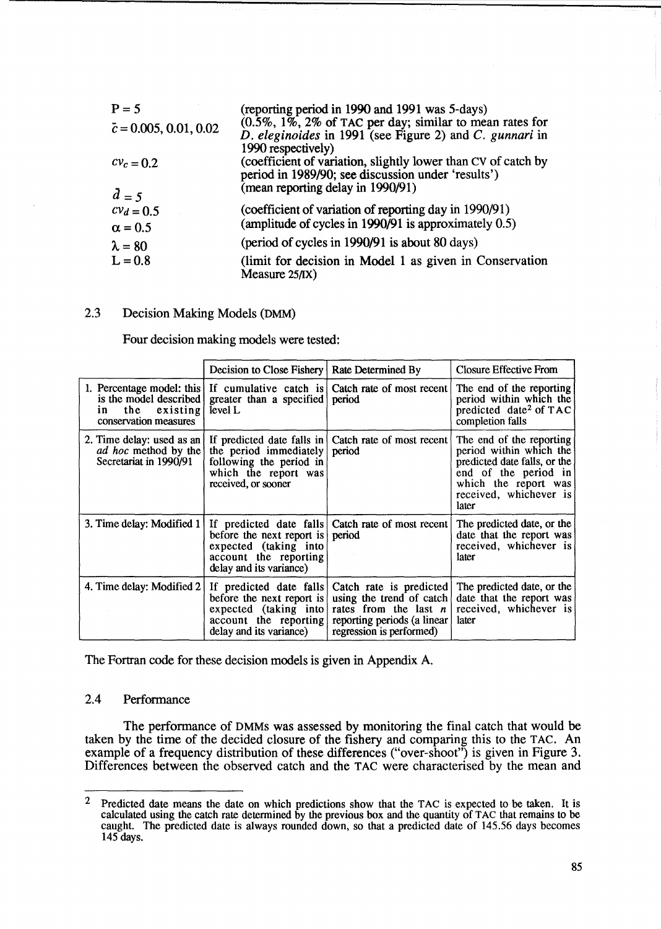| $P = 5$                       | (reporting period in 1990 and 1991 was 5-days)                                                                                                           |
|-------------------------------|----------------------------------------------------------------------------------------------------------------------------------------------------------|
| $\bar{c} = 0.005, 0.01, 0.02$ | $(0.5\%, 1\%, 2\%$ of TAC per day; similar to mean rates for<br>D. eleginoides in 1991 (see Figure 2) and C. gunnari in<br>1990 respectively)            |
| $cv_c = 0.2$                  | (coefficient of variation, slightly lower than CV of catch by<br>period in 1989/90; see discussion under 'results')<br>(mean reporting delay in 1990/91) |
| $d = 5$                       |                                                                                                                                                          |
| $c v_d = 0.5$                 | (coefficient of variation of reporting day in 1990/91)                                                                                                   |
| $\alpha = 0.5$                | (amplitude of cycles in 1990/91 is approximately 0.5)                                                                                                    |
| $\lambda = 80$                | (period of cycles in 1990/91 is about 80 days)                                                                                                           |
| $L = 0.8$                     | (limit for decision in Model 1 as given in Conservation<br>Measure $25/IX$ )                                                                             |

# 2.3 Decision Making Models (DMM)

Four decision making models were tested:

|                                                                                                       | Decision to Close Fishery   Rate Determined By                                                                    |                                                                                                                                                                   | Closure Effective From                                                                                                                                                 |
|-------------------------------------------------------------------------------------------------------|-------------------------------------------------------------------------------------------------------------------|-------------------------------------------------------------------------------------------------------------------------------------------------------------------|------------------------------------------------------------------------------------------------------------------------------------------------------------------------|
| 1. Percentage model: this<br>is the model described<br>the<br>existing<br>in<br>conservation measures | If cumulative catch is<br>greater than a specified<br>level L                                                     | Catch rate of most recent<br>period                                                                                                                               | The end of the reporting<br>period within which the<br>predicted date <sup>2</sup> of TAC<br>completion falls                                                          |
| 2. Time delay: used as an $\vert$<br>ad hoc method by the<br>Secretariat in 1990/91                   | the period immediately<br>following the period in<br>which the report was<br>received, or sooner                  | If predicted date falls in Catch rate of most recent<br>period                                                                                                    | The end of the reporting<br>period within which the<br>predicted date falls, or the<br>end of the period in<br>which the report was<br>received, whichever is<br>later |
| 3. Time delay: Modified 1                                                                             | before the next report is period<br>expected (taking into<br>account the reporting<br>delay and its variance)     | If predicted date falls Catch rate of most recent                                                                                                                 | The predicted date, or the<br>date that the report was<br>received, whichever is<br>later                                                                              |
| 4. Time delay: Modified 2                                                                             | before the next report is<br>expected $(taking \text{ into})$<br>account the reporting<br>delay and its variance) | If predicted date falls Catch rate is predicted<br>using the trend of catch<br>rates from the last $n$<br>reporting periods (a linear<br>regression is performed) | The predicted date, or the<br>date that the report was<br>received, whichever is<br>later                                                                              |

The Fortran code for these decision models is given in Appendix A.

# 2.4 Performance

The performance of DMMs was assessed by monitoring the final catch that would be taken by the time of the decided closure of the fishery and comparing this to the TAC. An example of a frequency distribution of these differences ("over-shoot") is given in Figure 3. Differences between the observed catch and the TAC were characterised by the mean and

<sup>&</sup>lt;sup>2</sup> Predicted date means the date on which predictions show that the TAC is expected to be taken. It is calculated using the catch rate determined by the previous box and the quantity of T AC that remains to be caught. The predicted date is always rounded down, so that a predicted date of 145.56 days becomes 145 days.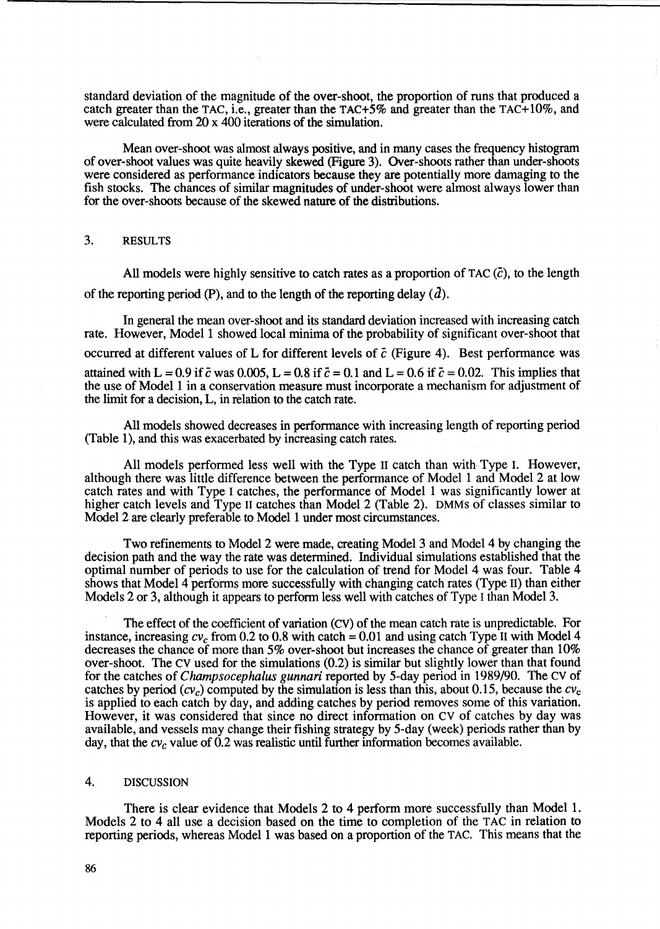standard deviation of the magnitude of the over-shoot, the proportion of runs that produced a catch greater than the TAC, i.e., greater than the TAC+5% and greater than the TAC+1O%, and were calculated from 20 x 400 iterations of the simulation.

Mean over-shoot was almost always positive, and in many cases the frequency histogram of over-shoot values was quite heavily skewed (Figure 3). Over-shoots rather than under-shoots were considered as performance indicators because they are potentially more damaging to the fish stocks. The chances of similar magnitudes of under-shoot were almost always lower than for the over-shoots because of the skewed nature of the distributions.

# 3. RESULTS

All models were highly sensitive to catch rates as a proportion of TAC  $(\bar{c})$ , to the length of the reporting period (P), and to the length of the reporting delay  $(d)$ .

In general the mean over-shoot and its standard deviation increased with increasing catch rate. However, Model 1 showed local minima of the probability of significant over-shoot that occurred at different values of L for different levels of  $\bar{c}$  (Figure 4). Best performance was attained with L = 0.9 if  $\bar{c}$  was 0.005, L = 0.8 if  $\bar{c}$  = 0.1 and L = 0.6 if  $\bar{c}$  = 0.02. This implies that the use of Model 1 in a conservation measure must incorporate a mechanism for adjustment of the limit for a decision, L, in relation to the catch rate.

All models showed decreases in performance with increasing length of reporting period (Table 1), and this was exacerbated by increasing catch rates.

All models performed less well with the Type 11 catch than with Type 1. However, although there was little difference between the performance of Model 1 and Model 2 at low catch rates and with Type I catches, the performance of Model 1 was significantly lower at higher catch levels and Type 11 catches than Model 2 (Table 2). DMMs of classes similar to Model 2 are clearly preferable to Model 1 under most circumstances.

Two refinements to Model 2 were made, creating Model 3 and Model 4 by changing the decision path and the way the rate was determined. Individual simulations established that the optimal number of periods to use for the calculation of trend for Model 4 was four. Table 4 shows that Model 4 performs more successfully with changing catch rates (Type II) than either Models 2 or 3, although it appears to perform less well with catches of Type I than Model 3.

The effect of the coefficient of variation (cv) of the mean catch rate is unpredictable. For instance, increasing  $cv_c$  from 0.2 to 0.8 with catch = 0.01 and using catch Type II with Model 4 decreases the chance of more than 5% over-shoot but increases the chance of greater than 10% over-shoot. The cv used for the simulations (0.2) is similar but slightly lower than that found for the catches of *Champsoeephalus gunnari* reported by 5-day period in 1989/90. The cv of catches by period (cv<sub>c</sub>) computed by the simulation is less than this, about 0.15, because the  $cv_c$ is applied to each catch by day, and adding catches by period removes some of this variation. However, it was considered that since no direct information on cv of catches by day was available, and vessels may change their fishing strategy by 5-day (week) periods rather than by day, that the  $cv_c$  value of 0.2 was realistic until further information becomes available.

### 4. DISCUSSION

There is clear evidence that Models 2 to 4 perform more successfully than Model 1. Models 2 to 4 all use a decision based on the time to completion of the TAC in relation to reporting periods, whereas Model 1 was based on a proportion of the TAC. This means that the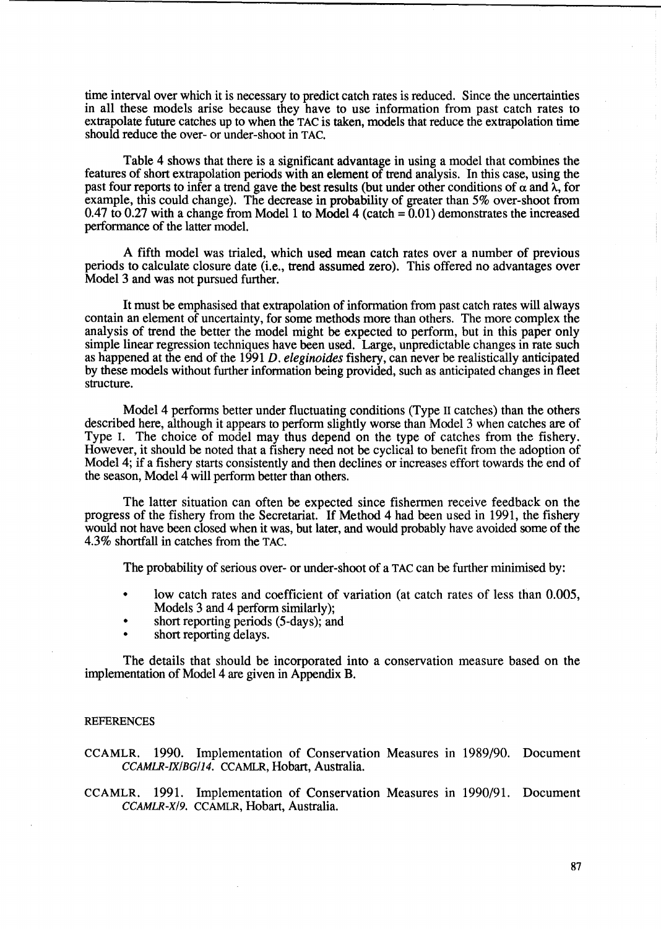time interval over which it is necessary to predict catch rates is reduced. Since the uncertainties in all these models arise because they have to use information from past catch rates to extrapolate future catches up to when the TAC is taken, models that reduce the extrapolation time should reduce the over- or under-shoot in TAC.

Table 4 shows that there is a significant advantage in using a model that combines the features of short extrapolation periods with an element of trend analysis. In this case, using the past four reports to infer a trend gave the best results (but under other conditions of  $\alpha$  and  $\lambda$ , for example, this could change). The decrease in probability of greater than 5% over-shoot from 0.47 to 0.27 with a change from Model 1 to Model 4 (catch  $= 0.01$ ) demonstrates the increased performance of the latter model.

A fifth model was trialed, which used mean catch rates over a number of previous periods to calculate closure date (i.e., trend assumed zero). This offered no advantages over Model 3 and was not pursued further.

It must be emphasised that extrapolation of information from past catch rates will always contain an element of uncertainty, for some methods more than others. The more complex the analysis of trend the better the model might be expected to perform, but in this paper only simple linear regression techniques have been used. Large, unpredictable changes in rate such as happened at the end of the 1991 *D. eleginoides* fishery, can never be realistically anticipated by these models without further information being provided, such as anticipated changes in fleet structure.

Model 4 performs better under fluctuating conditions (Type 11 catches) than the others described here, although it appears to perform slightly worse than Model 3 when catches are of Type I. The choice of model may thus depend on the type of catches from the fishery. However, it should be noted that a fishery need not be cyclical to benefit from the adoption of Model 4; if a fishery starts consistently and then declines or increases effort towards the end of the season, Model 4 will perform better than others.

The latter situation can often be expected since fishermen receive feedback on the progress of the fishery from the Secretariat. If Method 4 had been used in 1991, the fishery would not have been closed when it was, but later, and would probably have avoided some of the 4.3% shortfall in catches from the TAC.

The probability of serious over- or under-shoot of a TAC can be further minimised by:

- low catch rates and coefficient of variation (at catch rates of less than 0.005, Models 3 and 4 perform similarly);
- short reporting periods (5-days); and
- short reporting delays.

The details that should be incorporated into a conservation measure based on the implementation of Model 4 are given in Appendix B.

### **REFERENCES**

CCAMLR. 1990. Implementation of Conservation Measures in 1989/90. Document *CCAMLR-IX/BG/14.* CCAMLR, Hobart, Australia.

CCAMLR. 1991. Implementation of Conservation Measures in 1990/91. Document *CCAMLR-X/9.* CCAMLR, Hobart, Australia.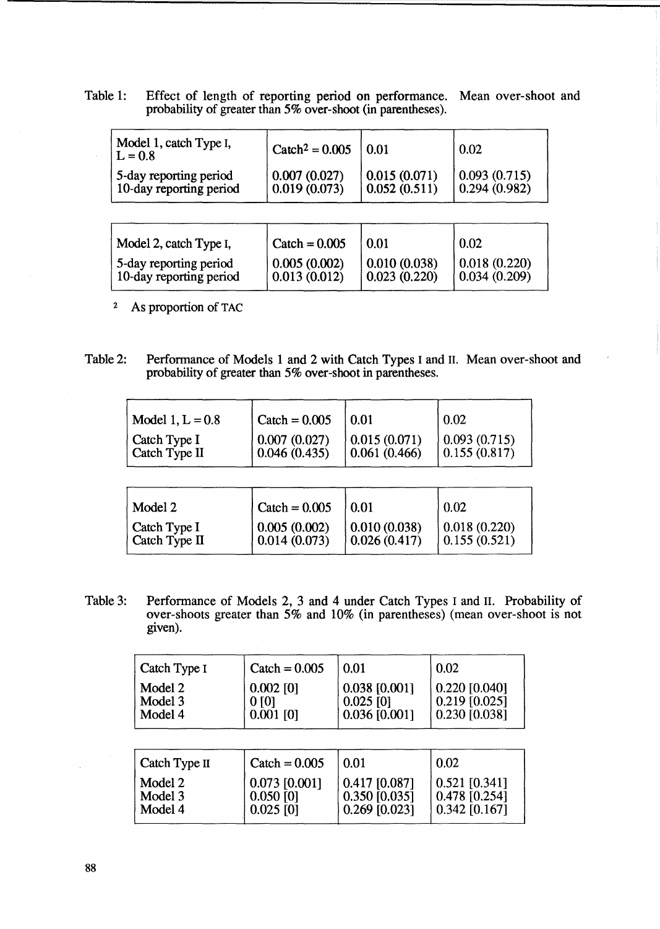Table 1: Effect of length of reporting period on performance. Mean over-shoot and probability of greater than 5% over-shoot (in parentheses).

| Model 1, catch Type I,<br>$L = 0.8$               | $\text{Cache}^2 = 0.005$     | 0.01                         | 0.02                         |
|---------------------------------------------------|------------------------------|------------------------------|------------------------------|
| 5-day reporting period<br>10-day reporting period | 0.007(0.027)<br>0.019(0.073) | 0.015(0.071)<br>0.052(0.511) | 0.093(0.715)<br>0.294(0.982) |
|                                                   |                              |                              |                              |
| Model 2, catch Type I,                            | Catch = $0.005$              | 0.01                         | 0.02                         |

5-day reporting period  $\begin{array}{|l|l|l|l|l|} \hline 0.005 (0.002) & 0.010 (0.038) & 0.018 (0.220) \end{array}$ <br>10-day reporting period  $\begin{array}{|l|l|l|l|l|} \hline 0.013 (0.012) & 0.023 (0.220) & 0.034 (0.209) \end{array}$ 

2 As proportion of TAC

10-day reporting period

Table 2: Performance of Models 1 and 2 with Catch Types I and 11. Mean over-shoot and probability of greater than 5% over-shoot in parentheses.

| Model 1, $L = 0.8$ | $\text{Cache} = 0.005$ | 0.01         | 0.02         |
|--------------------|------------------------|--------------|--------------|
| Catch Type I       | 0.007(0.027)           | 0.015(0.071) | 0.093(0.715) |
| Catch Type II      | 0.046(0.435)           | 0.061(0.466) | 0.155(0.817) |
| Model 2            | $\text{Cache} = 0.005$ | 0.01         | 0.02         |
| Catch Type I       | 0.005(0.002)           | 0.010(0.038) | 0.018(0.220) |
| Catch Type II      | 0.014(0.073)           | 0.026(0.417) | 0.155(0.521) |

Table 3: Performance of Models 2, 3 and 4 under Catch Types I and 11. Probability of over-shoots greater than 5% and lO% (in parentheses) (mean over-shoot is not given).

| Catch Type I                  | $\text{Cache} = 0.005$                         | 0.01                                              | 0.02                                                |
|-------------------------------|------------------------------------------------|---------------------------------------------------|-----------------------------------------------------|
| Model 2<br>Model 3<br>Model 4 | $0.002$ [0]<br>0 <sub>[0]</sub><br>$0.001$ [0] | $0.038$ [0.001]<br>$0.025$ [0]<br>$0.036$ [0.001] | $0.220$ [0.040]<br>$0.219$ [0.025]<br>0.230 [0.038] |
| Catch Type II                 | Catch = $0.005$                                | 0.01                                              | 0.02                                                |
| Model 2<br>Model 3<br>Model 4 | $0.073$ [0.001]<br>$0.050$ [0]                 | $0.417$ [0.087]<br>$0.350$ [0.035]                | $0.521$ [0.341]<br>$0.478$ [0.254]                  |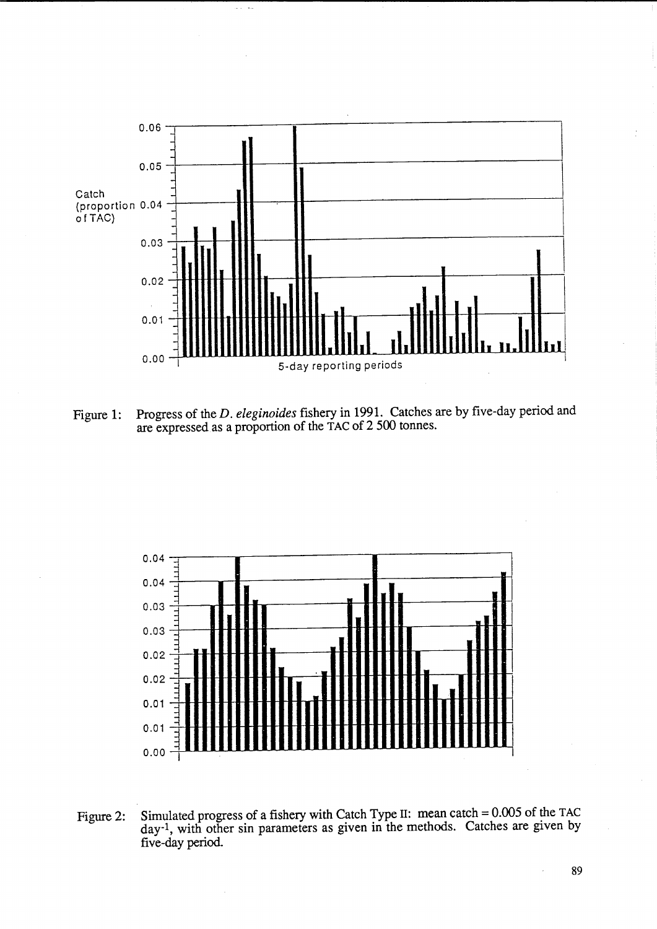

 $\omega_{\rm{eff}}$  , and

Figure 1: Progress of the *D. eleginoides* fishery in 1991. Catches are by five-day period and are expressed as a proportion of the TAC of 2 500 tonnes.



Figure 2: Simulated progress of a fishery with Catch Type II: mean catch = 0.005 of the TAC day-I, with other sin parameters as given in the methods. Catches are given by five-day period.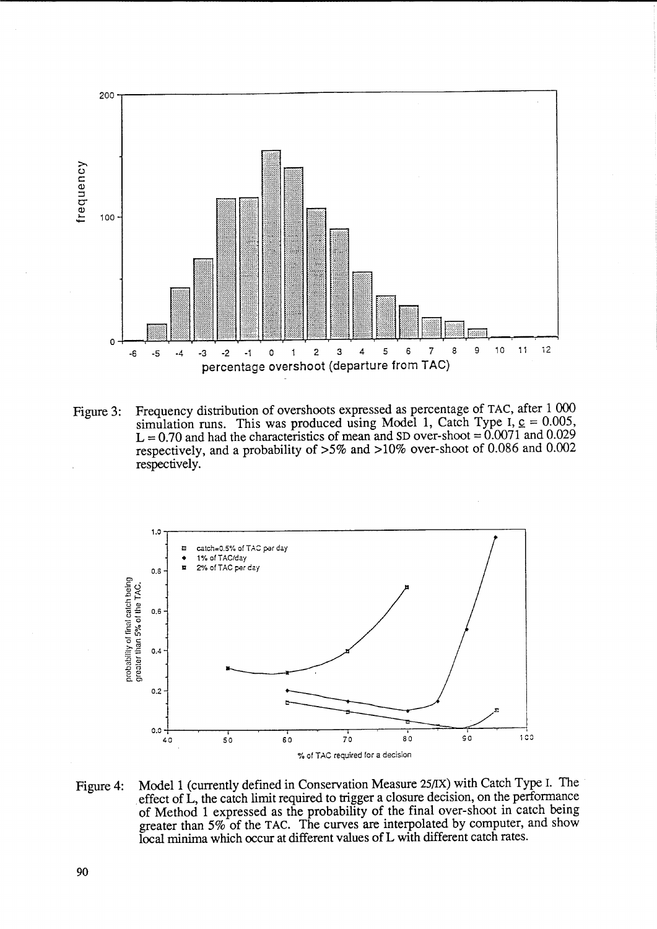

Figure 3: Frequency distribution of overshoots expressed as percentage of TAC, after 1 000 simulation runs. This was produced using Model 1, Catch Type I,  $\epsilon = 0.005$ ,  $L = 0.70$  and had the characteristics of mean and SD over-shoot =  $0.0071$  and 0.029 respectively, and a probability of >5% and >10% over-shoot of 0.086 and 0.002 respectively.



Figure 4: Model 1 (currently defmed in Conservation Measure 25/IX) with Catch Type 1. The effect of L, the catch limit required to trigger a closure decision, on the performance of Method 1 expressed as the probability of the final over-shoot in catch being greater than 5% of the TAC. The curves are interpolated by computer, and show local minima which occur at different values of L with different catch rates.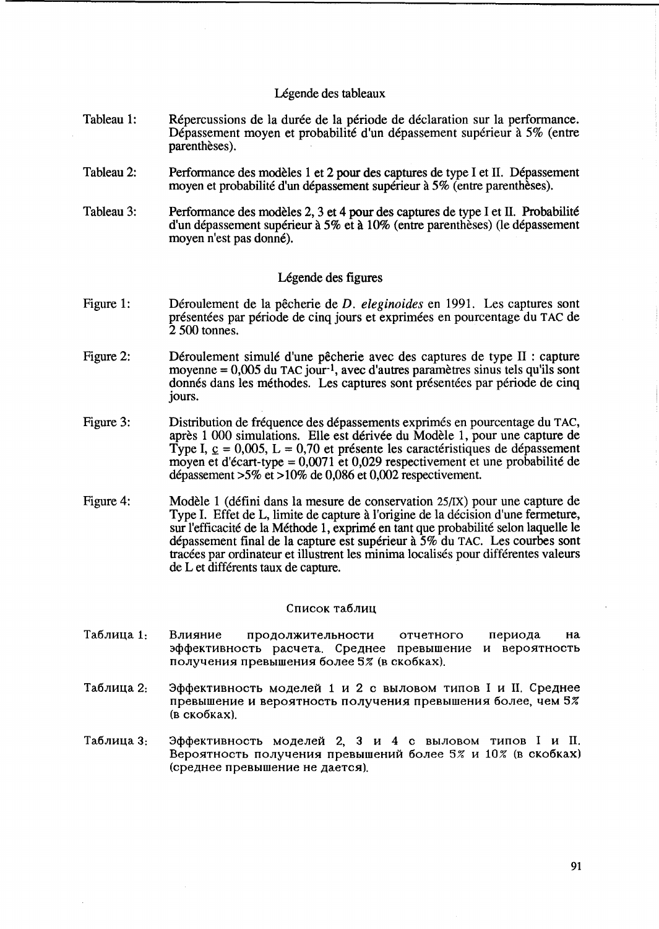## Légende des tableaux

- Tableau 1: Répercussions de la durée de la période de déclaration sur la performance. Dépassement moyen et probabilité d'un dépassement supérieur à 5% (entre parenthèses).
- Tableau 2: Performance des modeles 1 et 2 pour des captures de type I et IT. Depassement moyen et probabilité d'un dépassement supérieur à 5% (entre parenthèses).
- Tableau 3: Performance des modèles 2, 3 et 4 pour des captures de type I et II. Probabilité d'un depassement superieur a 5% et a 10% (entre parentheses) (le depassement moyen n'est pas donné).

## Légende des figures

- Figure 1: Deroulement de la pecherie de *D. eleginoides* en 1991. Les captures sont présentées par période de cinq jours et exprimées en pourcentage du TAC de 2 500 tonnes.
- Figure 2: Déroulement simulé d'une pêcherie avec des captures de type II : capture moyenne  $= 0.005$  du TAC jour-<sup>1</sup>, avec d'autres paramètres sinus tels qu'ils sont donnés dans les méthodes. Les captures sont présentées par période de cinq jours.
- Figure 3: Distribution de fréquence des dépassements exprimés en pourcentage du TAC, apres 1 000 simulations. Elle est derivee du Modele 1, pour une capture de Type I,  $\mathbf{c} = 0.005$ , L = 0.70 et présente les caractéristiques de dépassement moyen et d'écart-type =  $0.0071$  et  $0.029$  respectivement et une probabilité de depassement >5% et > 10% de 0,086 et 0,002 respectivement.
- Figure 4: Modèle 1 (défini dans la mesure de conservation 25/IX) pour une capture de Type I. Effet de L, limite de capture a l'origine de la decision d'une fermeture, sur l'efficacité de la Méthode 1, exprimé en tant que probabilité selon laquelle le depassement final de la capture est superieur a 5% du TAC. Les courbes sont tracees par ordinateur et illustrent les minima localises pour differentes valeurs de L et differents taux de capture.

#### Список таблиц

- Таблица 1. Влияние продолжительности отчетного периода на эффективность расчета. Среднее превышение и вероятность получения превышения более 5% (в скобках).
- Таблица 2: Эффективность моделей 1 и 2 с выловом типов I и II. Среднее превышение и вероятность получения превышения более, чем 5% (B cKo6Kax).
- Таблица 3: Эффективность моделей 2, 3 и 4 с выловом типов I и II. Вероятность получения превышений более 5% и 10% (в скобках) (среднее превышение не дается).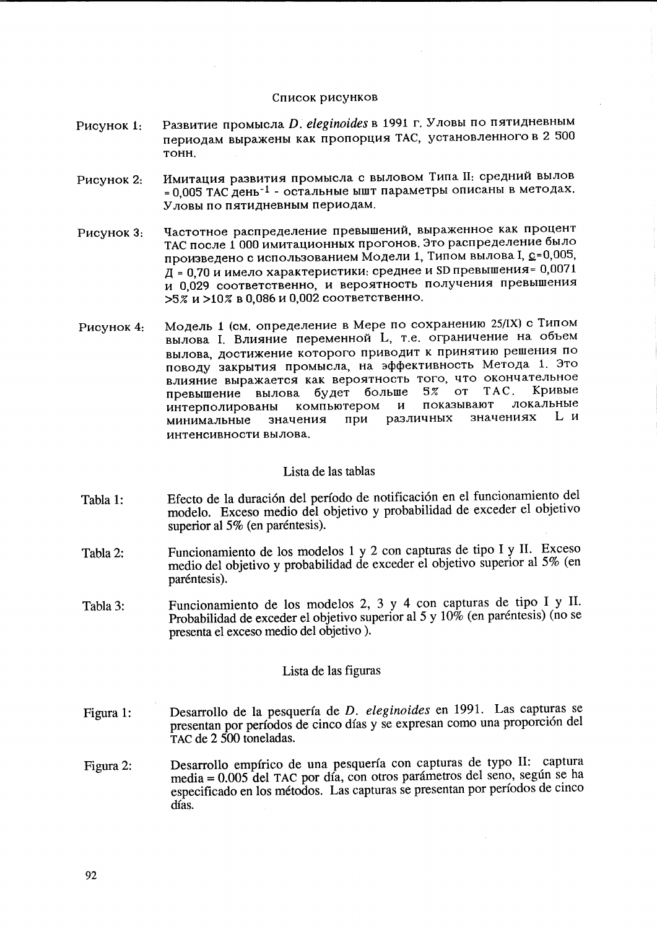### Список рисунков

- Развитие промысла D. eleginoides в 1991 г. Уловы по пятидневным Рисунок 1. периодам выражены как пропорция ТАС, установленного в 2 500 тонн.
- Имитация развития промысла с выловом Типа II: средний вылов Рисунок 2: = 0.005 ТАС день<sup>-1</sup> - остальные ышт параметры описаны в методах. Уловы по пятидневным периодам.
- Частотное распределение превышений, выраженное как процент Рисунок 3: ТАС после 1 000 имитационных прогонов. Это распределение было произведено с использованием Модели 1, Типом вылова I, с=0,005,  $\overline{A}$  = 0.70 и имело характеристики: среднее и SD превышения= 0.0071 и 0,029 соответственно, и вероятность получения превышения  $>5\%$  и  $>10\%$  в 0,086 и 0,002 соответственно.
- Модель 1 (см. определение в Мере по сохранению 25/IX) с Типом Рисунок 4: вылова I. Влияние переменной L, т.е. ограничение на объем вылова, достижение которого приводит к принятию решения по поводу закрытия промысла, на эффективность Метода 1. Это влияние выражается как вероятность того, что окончательное больше 5% **OT** TAC. Кривые превышение вылова будет показывают локальные компьютером И интерполированы Lи значениях при различных значения минимальные интенсивности вылова.

### Lista de las tablas

- Efecto de la duración del período de notificación en el funcionamiento del Tabla 1: modelo. Exceso medio del objetivo y probabilidad de exceder el objetivo superior al 5% (en paréntesis).
- Funcionamiento de los modelos 1 y 2 con capturas de tipo I y II. Exceso Tabla 2: medio del objetivo y probabilidad de exceder el objetivo superior al 5% (en paréntesis).
- Funcionamiento de los modelos 2, 3 y 4 con capturas de tipo I y II. Tabla 3: Probabilidad de exceder el objetivo superior al 5 y 10% (en paréntesis) (no se presenta el exceso medio del objetivo).

### Lista de las figuras

- Desarrollo de la pesquería de D. eleginoides en 1991. Las capturas se Figura 1: presentan por períodos de cinco días y se expresan como una proporción del TAC de 2 500 toneladas.
- Desarrollo empírico de una pesquería con capturas de typo II: captura Figura 2: media = 0.005 del TAC por día, con otros parámetros del seno, según se ha especificado en los métodos. Las capturas se presentan por períodos de cinco días.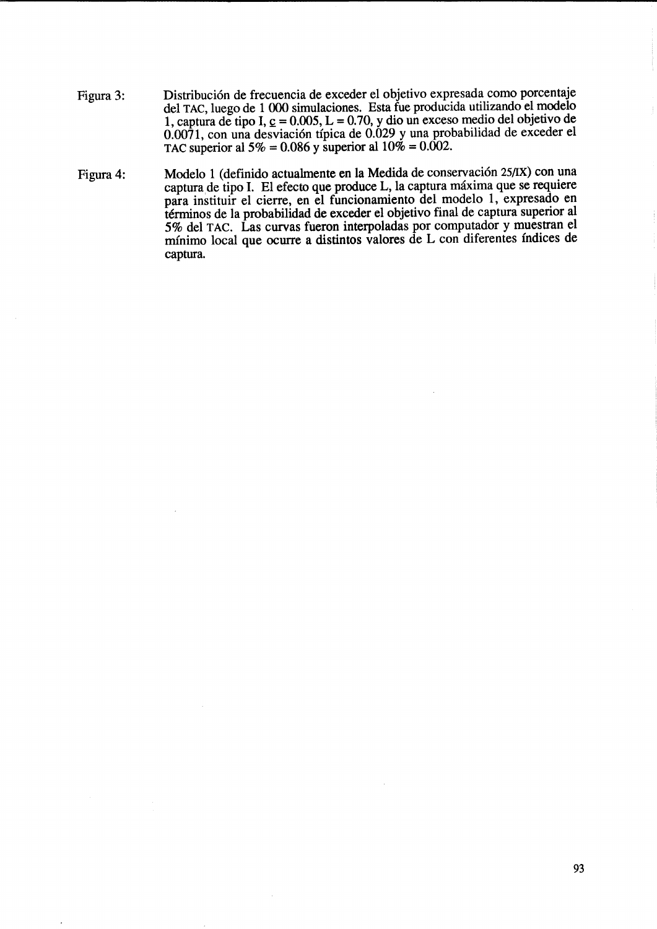- Figura 3: Distribución de frecuencia de exceder el objetivo expresada como porcentaje del TAC, luego de 1000 simulaciones. Esta fue producida utilizando el modelo 1, captura de tipo I,  $\epsilon$  = 0.005, L = 0.70, y dio un exceso medio del objetivo de 0.0071, con una desviaci6n tipica de 0.029 y una probabilidad de exceder el TAC superior al  $5\% = 0.086$  y superior al  $10\% = 0.002$ .
- Figura 4: Modelo 1 (definido actualmente en la Medida de conservación 25/IX) con una captura,de tipo 1. El efecto que produce L, la captura maxima que se requiere para instituir el cierre, en el funcionamiento del modelo 1, expresado en términos de la probabilidad de exceder el objetivo final de captura superior al 5% del TAC. Las curvas fueron interpoladas por computador y muestran el minimo local que ocurre a distintos valores de L con diferentes indices de captura.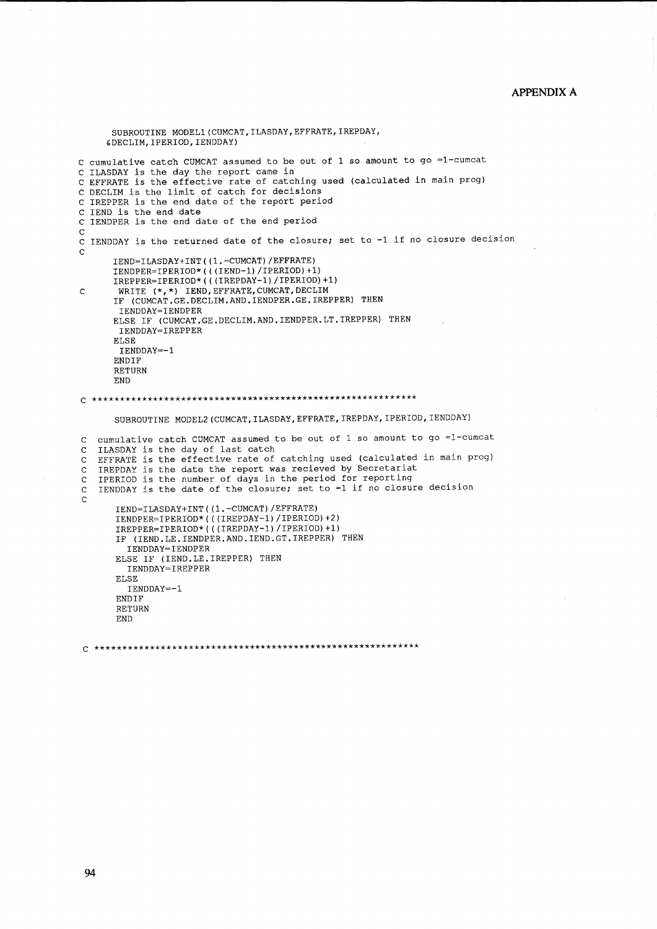## **APPENDIX A**

```
SUBROUTINE MODEL1 (CUMCAT, ILASDAY, EFFRATE, IREPDAY,
      &DECLIM, IPERIOD, IENDDAY)
C cumulative catch CUMCAT assumed to be out of 1 so amount to go =1-cumcat
C ILASDAY is the day the report came in
C EFFRATE is the effective rate of catching used (calculated in main prog)
C DECLIM is the limit of catch for decisions
C IREPPER is the end date of the report period
C IEND is the end date
C IENDPER is the end date of the end period
\mathbf CC IENDDAY is the returned date of the closure; set to -1 if no closure decision
\mathbf{C}IEND=ILASDAY+INT((1.-CUMCAT)/EFFRATE)
       IENDPER=IPERIOD*(((IEND-1)/IPERIOD)+1)<br>IREPPER=IPERIOD*(((IEND-1)/IPERIOD)+1)<br>IREPPER=IPERIOD*(((IREPDAY-1)/IPERIOD)+1)
        WRITE (*,*) IEND, EFFRATE, CUMCAT, DECLIM
\mathbf CIF (CUMCAT.GE.DECLIM.AND.IENDPER.GE.IREPPER) THEN
        IENDDAY=IENDPER
       ELSE IF (CUMCAT.GE.DECLIM.AND.IENDPER.LT.IREPPER) THEN
        IENDDAY=IREPPER
       ELSE
        IENDDAY=-1
       ENDIF
       RETURN
       FND
SUBROUTINE MODEL2 (CUMCAT, ILASDAY, EFFRATE, IREPDAY, IPERIOD, IENDDAY)
   cumulative catch CUMCAT assumed to be out of 1 so amount to go =1-cumcat
\mathbf CILASDAY is the day of last catch
\mathbf CEFFRATE is the effective rate of catching used (calculated in main prog)
\mathbf CIREPDAY is the date the report was recieved by Secretariat
\mathbf CIPERIOD is the number of days in the period for reporting
\mathsf{C}IENDDAY is the date of the closure; set to -1 if no closure decision
\mathbf C\overline{C}IEND=ILASDAY+INT((1.-CUMCAT)/EFFRATE)
       IEND=1DRODATTINI((1. CONOMI), ETIMILE,<br>IENDPER=IPERIOD*(((IREPDAY-1)/IPERIOD)+2)<br>IREPPER=IPERIOD*(((IREPDAY-1)/IPERIOD)+1)
        IF (IEND.LE. IENDPER.AND. IEND. GT. IREPPER) THEN
          IENDDAY=IENDPER
       ELSE IF (IEND.LE.IREPPER) THEN<br>IENDDAY=IREPPER
        ELSE
          IENDDAY=-1
        ENDIF
        RETURN
        END
```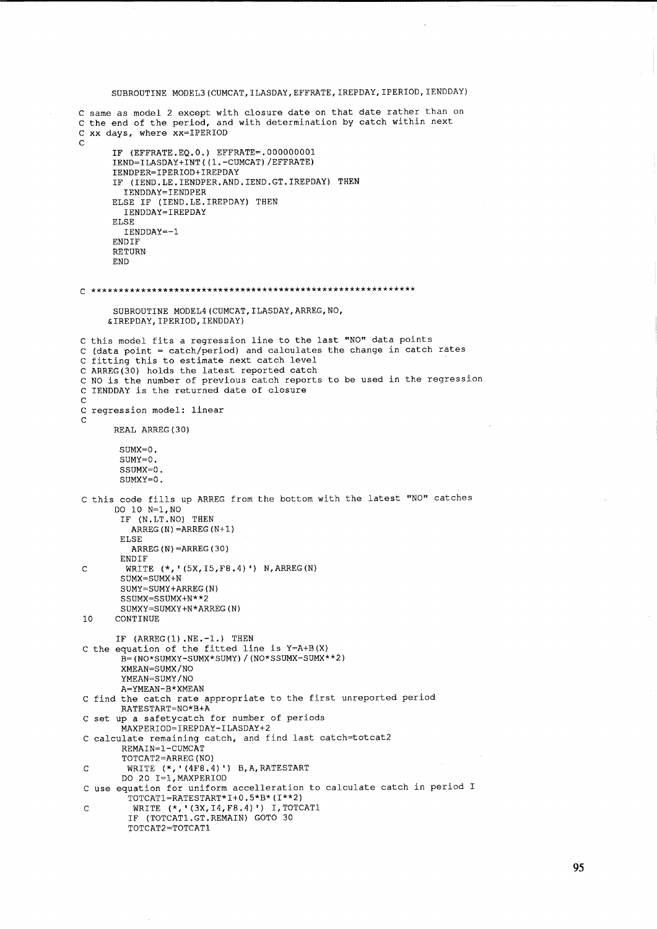```
SUBROUTINE MODEL3(CUMCAT,ILASDAY,EFFRATE,IREPDAY, IPERIOD,IENDDAY) 
C same as model 2 except with closure date on that date rather than on 
C the end of the period, and with determination by catch within next 
C xx days, where xx=IPERIOD 
C 
      IF (EFFRATE.EQ.O.) EFFRATE=.OOOOOOOOl 
      IEND=ILASDAY+INT((l.-CUMCAT)/EFFRATE) 
      IENDPER=IPERIOD+IREPDAY 
      IF (IEND.LE.IENDPER.AND.IEND.GT.IREPDAY) THEN 
        IENDDAY=IENDPER 
      ELSE IF (IEND. LE. IREPDAY) THEN
        IENDDAY=IREPDAY 
      ELSE 
        IENDDAY=-l 
      ENDIF 
      RETURN 
      END 
C *********************************************************** 
      SUBROUTINE MODEL4(CUMCAT,ILASDAY,ARREG,NO, 
     &IREPDAY,IPERIOD,IENDDAY) 
C this model fits a regression line to the last "NO" data points 
C (data point = catch/period) and calculates the change in catch rates
C fitting this to estimate next catch level 
C ARREG(30) holds the latest reported catch 
C NO is the number of previous catch reports to be used in the regression 
C IENDDAY is the returned date of closure 
C 
C regression model: linear 
C 
      REAL ARREG (30) 
       SUMX=O. 
       SUMY=O. 
       SSSUMY=O.
       SUMXY=O. 
C this code fills up ARREG from the bottom with the latest "NO" catches 
      DO 10 N=l,NO 
       IF (N.LT.NO) THEN 
         ARREG(N)=ARREG(N+1)ELSE 
         ARREG(N)=ARREG(30) 
       ENDIF 
C WRITE (*,' (5X,I5,F8.4) ') N,ARREG(N) 
        SUMX=SUMX+N 
        SUMY=SUMY+ARREG(N) 
        SSUMX=SSUMX+N**2 
        SUMXY=SUMXY+N*ARREG(N) 
10 CONTINUE 
       IF (ARREG(1) .NE. -1.) THEN
C the equation of the fitted line is Y=A+B(X) 
        B=(NO*SUMXY-SUMX*SUMY)/(NO*SSUMX-SUMX**2) 
        XMEAN=SUMX/NO 
        YMEAN=SUMY/NO 
        A=YMEAN-B*XMEAN 
C find the catch rate appropriate to the first unreported period 
        RATESTART=NO*B+A 
C set up a safetycatch for number of periods 
        MAXPERIOD=IREPDAY-ILASDAY+2 
C calculate remaining catch, and find last catch=totcat2 
        REMAIN=l-CUMCAT 
        TOTCAT2=ARREG(NO) 
C WRITE (*,'(4F8.4)') B,A,RATESTART 
        DO 20 I=l,MAXPERIOD 
C use equation for uniform accelleration to calculate catch in period I 
         TOTCAT1=RATESTART*I+0.5*B*(I**2) 
C WRITE (*, '(3X, I4, F8.4)') I, TOTCAT1
         IF (TOTCAT1.GT.REMAIN) GOTO 30 
         TOTCAT2=TOTCAT1
```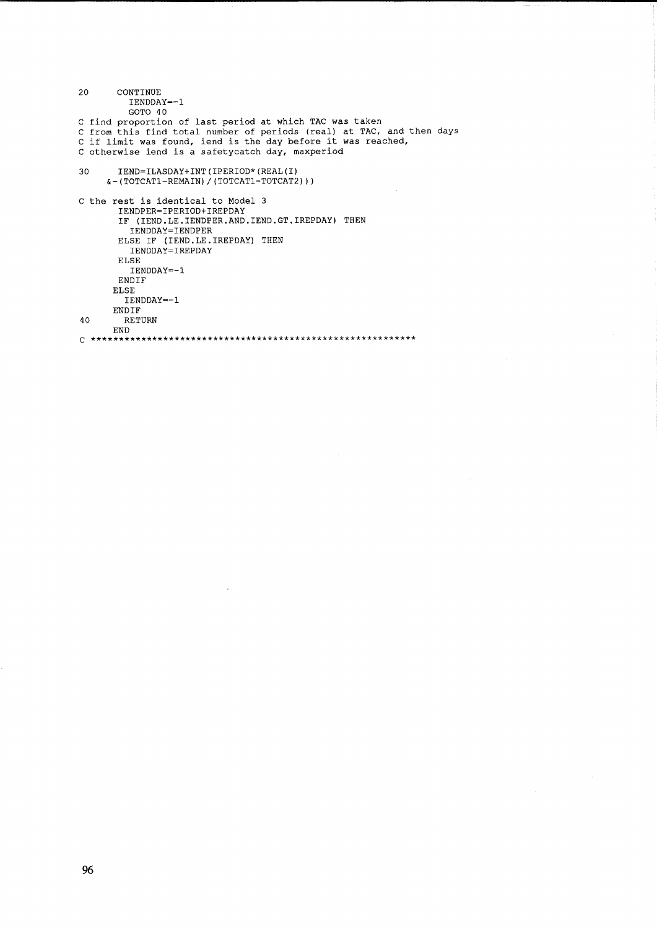```
CONTINUE
20
           IENDDAY=-1
           GOTO 40
C find proportion of last period at which TAC was taken<br>C from this find total number of periods (real) at TAC, and then days<br>C if limit was found, iend is the day before it was reached,
C otherwise iend is a safetycatch day, maxperiod
         IEND=ILASDAY+INT(IPERIOD*(REAL(I)
30
      \epsilon (TOTCAT1-REMAIN) / (TOTCAT1-TOTCAT2) ) )
C the rest is identical to Model 3
         IENDPER=IPERIOD+IREPDAY
         IF (IEND.LE.IENDPER.AND.IEND.GT.IREPDAY) THEN
        IENDDAY=IENDPER<br>ELSE IF (IEND.LE.IREPDAY) THEN<br>IENDDAY=IREPDAY
         ELSE
           IENDDAY=-1
         ENDIF
       ELSE
          IENDDAY=-1ENDIF
         RETURN
40
       END
```